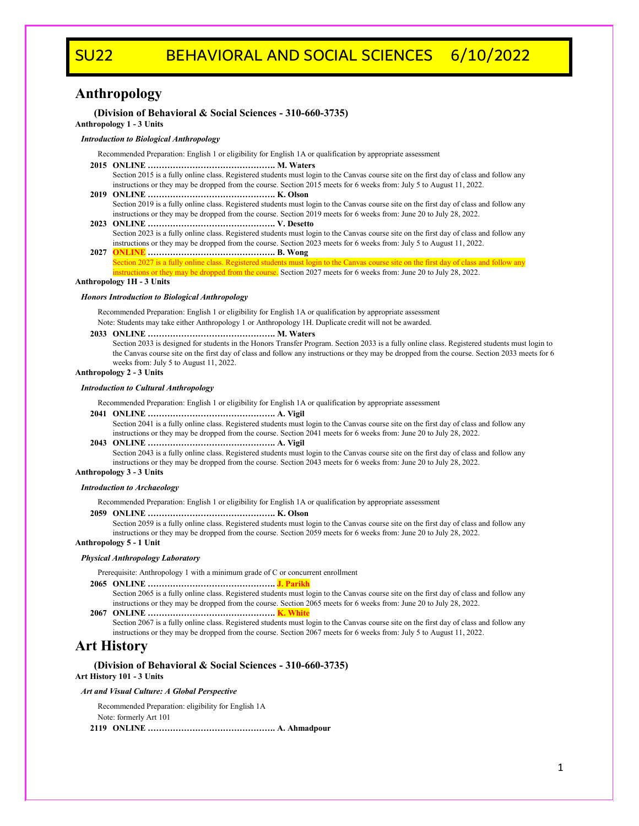# SU22 BEHAVIORAL AND SOCIAL SCIENCES 6/10/2022

# **Anthropology**

# **(Division of Behavioral & Social Sciences - 310-660-3735)**

**Anthropology 1 - 3 Units**

## *Introduction to Biological Anthropology*

Recommended Preparation: English 1 or eligibility for English 1A or qualification by appropriate assessment

- **2015 ONLINE ………………………………………. M. Waters**
- Section 2015 is a fully online class. Registered students must login to the Canvas course site on the first day of class and follow any instructions or they may be dropped from the course. Section 2015 meets for 6 weeks from: July 5 to August 11, 2022.
- **2019 ONLINE ………………………………………. K. Olson** Section 2019 is a fully online class. Registered students must login to the Canvas course site on the first day of class and follow any instructions or they may be dropped from the course. Section 2019 meets for 6 weeks from: June 20 to July 28, 2022.
- **2023 ONLINE ………………………………………. V. Desetto** Section 2023 is a fully online class. Registered students must login to the Canvas course site on the first day of class and follow any instructions or they may be dropped from the course. Section 2023 meets for 6 weeks from: July 5 to August 11, 2022.
- **2027 ONLINE ………………………………………. B. Wong** ection 2027 is a fully online class. Registered students must login to the Canvas course site on the first day of class and follow any **Instructions or they may be dropped from the course.** Section 2027 meets for 6 weeks from: June 20 to July 28, 2022.

## **Anthropology 1H - 3 Units**

## *Honors Introduction to Biological Anthropology*

Recommended Preparation: English 1 or eligibility for English 1A or qualification by appropriate assessment

Note: Students may take either Anthropology 1 or Anthropology 1H. Duplicate credit will not be awarded.

### **2033 ONLINE ………………………………………. M. Waters**

Section 2033 is designed for students in the Honors Transfer Program. Section 2033 is a fully online class. Registered students must login to the Canvas course site on the first day of class and follow any instructions or they may be dropped from the course. Section 2033 meets for 6 weeks from: July 5 to August 11, 2022.

#### **Anthropology 2 - 3 Units**

#### *Introduction to Cultural Anthropology*

Recommended Preparation: English 1 or eligibility for English 1A or qualification by appropriate assessment

#### **2041 ONLINE ………………………………………. A. Vigil**

Section 2041 is a fully online class. Registered students must login to the Canvas course site on the first day of class and follow any instructions or they may be dropped from the course. Section 2041 meets for 6 weeks from: June 20 to July 28, 2022.

#### **2043 ONLINE ………………………………………. A. Vigil**

Section 2043 is a fully online class. Registered students must login to the Canvas course site on the first day of class and follow any instructions or they may be dropped from the course. Section 2043 meets for 6 weeks from: June 20 to July 28, 2022.

**Anthropology 3 - 3 Units**

#### *Introduction to Archaeology*

Recommended Preparation: English 1 or eligibility for English 1A or qualification by appropriate assessment

## **2059 ONLINE ………………………………………. K. Olson**

Section 2059 is a fully online class. Registered students must login to the Canvas course site on the first day of class and follow any instructions or they may be dropped from the course. Section 2059 meets for 6 weeks from: June 20 to July 28, 2022.

## **Anthropology 5 - 1 Unit**

#### *Physical Anthropology Laboratory*

Prerequisite: Anthropology 1 with a minimum grade of C or concurrent enrollment

**2065 ONLINE ………………………………………. J. Parikh**

Section 2065 is a fully online class. Registered students must login to the Canvas course site on the first day of class and follow any instructions or they may be dropped from the course. Section 2065 meets for 6 weeks from: June 20 to July 28, 2022.

**2067 ONLINE ………………………………………. K. White**

Section 2067 is a fully online class. Registered students must login to the Canvas course site on the first day of class and follow any instructions or they may be dropped from the course. Section 2067 meets for 6 weeks from: July 5 to August 11, 2022.

# **Art History**

**(Division of Behavioral & Social Sciences - 310-660-3735) Art History 101 - 3 Units**

#### *Art and Visual Culture: A Global Perspective*

Recommended Preparation: eligibility for English 1A Note: formerly Art 101 **2119 ONLINE ………………………………………. A. Ahmadpour**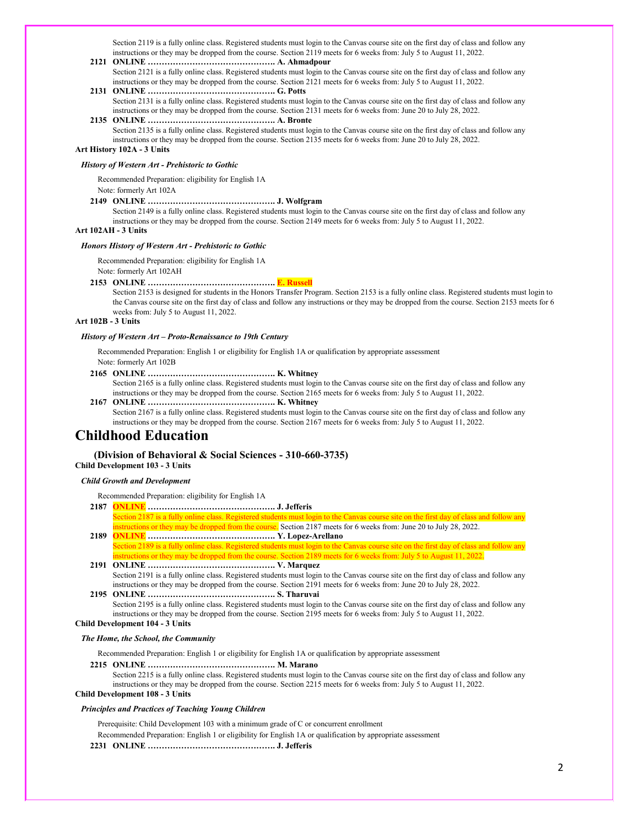Section 2119 is a fully online class. Registered students must login to the Canvas course site on the first day of class and follow any instructions or they may be dropped from the course. Section 2119 meets for 6 weeks from: July 5 to August 11, 2022.

- **2121 ONLINE ………………………………………. A. Ahmadpour** Section 2121 is a fully online class. Registered students must login to the Canvas course site on the first day of class and follow any instructions or they may be dropped from the course. Section 2121 meets for 6 weeks from: July 5 to August 11, 2022.
- **2131 ONLINE ………………………………………. G. Potts**

Section 2131 is a fully online class. Registered students must login to the Canvas course site on the first day of class and follow any instructions or they may be dropped from the course. Section 2131 meets for 6 weeks from: June 20 to July 28, 2022. **2135 ONLINE ………………………………………. A. Bronte**

Section 2135 is a fully online class. Registered students must login to the Canvas course site on the first day of class and follow any instructions or they may be dropped from the course. Section 2135 meets for 6 weeks from: June 20 to July 28, 2022.

# **Art History 102A - 3 Units**

#### *History of Western Art - Prehistoric to Gothic*

Recommended Preparation: eligibility for English 1A

Note: formerly Art 102A

### **2149 ONLINE ………………………………………. J. Wolfgram**

Section 2149 is a fully online class. Registered students must login to the Canvas course site on the first day of class and follow any instructions or they may be dropped from the course. Section 2149 meets for 6 weeks from: July 5 to August 11, 2022.

### **Art 102AH - 3 Units**

#### *Honors History of Western Art - Prehistoric to Gothic*

Recommended Preparation: eligibility for English 1A

Note: formerly Art 102AH

**2153 ONLINE ………………………………………. E. Russell**

Section 2153 is designed for students in the Honors Transfer Program. Section 2153 is a fully online class. Registered students must login to the Canvas course site on the first day of class and follow any instructions or they may be dropped from the course. Section 2153 meets for 6 weeks from: July 5 to August 11, 2022.

# **Art 102B - 3 Units**

#### *History of Western Art – Proto-Renaissance to 19th Century*

Recommended Preparation: English 1 or eligibility for English 1A or qualification by appropriate assessment Note: formerly Art 102B

**2165 ONLINE ………………………………………. K. Whitney**

Section 2165 is a fully online class. Registered students must login to the Canvas course site on the first day of class and follow any instructions or they may be dropped from the course. Section 2165 meets for 6 weeks from: July 5 to August 11, 2022.

**2167 ONLINE ………………………………………. K. Whitney** Section 2167 is a fully online class. Registered students must login to the Canvas course site on the first day of class and follow any instructions or they may be dropped from the course. Section 2167 meets for 6 weeks from: July 5 to August 11, 2022.

# **Childhood Education**

# **(Division of Behavioral & Social Sciences - 310-660-3735)**

# **Child Development 103 - 3 Units**

## *Child Growth and Development*

Recommended Preparation: eligibility for English 1A

- **2187 ONLINE ………………………………………. J. Jefferis** ection 2187 is a fully online class. Registered students must login to the Canvas course site on the first day of class and follow any nstructions or they may be dropped from the course. Section 2187 meets for 6 weeks from: June 20 to July 28, 2022.
- **2189 ONLINE ………………………………………. Y. Lopez-Arellano** Section 2189 is a fully online class. Registered students must login to the Canvas course site on the first day of class and follow any structions or they may be dropped from the course. Section 2189 meets for 6 weeks from: July 5 to August 11, 2022.
- **2191 ONLINE ………………………………………. V. Marquez** Section 2191 is a fully online class. Registered students must login to the Canvas course site on the first day of class and follow any

instructions or they may be dropped from the course. Section 2191 meets for 6 weeks from: June 20 to July 28, 2022. **2195 ONLINE ………………………………………. S. Tharuvai**

Section 2195 is a fully online class. Registered students must login to the Canvas course site on the first day of class and follow any instructions or they may be dropped from the course. Section 2195 meets for 6 weeks from: July 5 to August 11, 2022.

# **Child Development 104 - 3 Units**

## *The Home, the School, the Community*

Recommended Preparation: English 1 or eligibility for English 1A or qualification by appropriate assessment

**2215 ONLINE ………………………………………. M. Marano**

Section 2215 is a fully online class. Registered students must login to the Canvas course site on the first day of class and follow any instructions or they may be dropped from the course. Section 2215 meets for 6 weeks from: July 5 to August 11, 2022.

# **Child Development 108 - 3 Units**

#### *Principles and Practices of Teaching Young Children*

Prerequisite: Child Development 103 with a minimum grade of C or concurrent enrollment

- Recommended Preparation: English 1 or eligibility for English 1A or qualification by appropriate assessment
- **2231 ONLINE ………………………………………. J. Jefferis**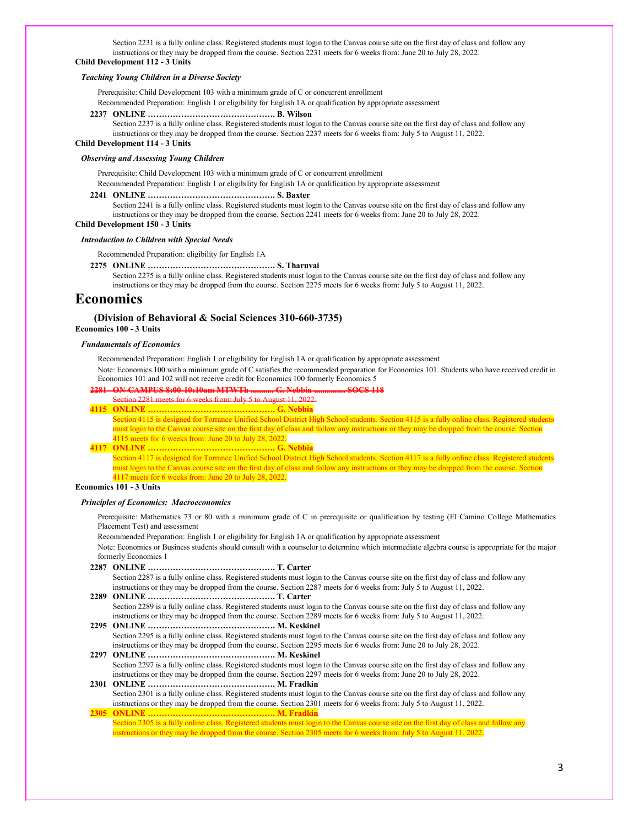Section 2231 is a fully online class. Registered students must login to the Canvas course site on the first day of class and follow any instructions or they may be dropped from the course. Section 2231 meets for 6 weeks from: June 20 to July 28, 2022. **Child Development 112 - 3 Units**

# *Teaching Young Children in a Diverse Society*

Prerequisite: Child Development 103 with a minimum grade of C or concurrent enrollment

Recommended Preparation: English 1 or eligibility for English 1A or qualification by appropriate assessment

#### **2237 ONLINE ………………………………………. B. Wilson**

Section 2237 is a fully online class. Registered students must login to the Canvas course site on the first day of class and follow any instructions or they may be dropped from the course. Section 2237 meets for 6 weeks from: July 5 to August 11, 2022.

**Child Development 114 - 3 Units**

#### *Observing and Assessing Young Children*

Prerequisite: Child Development 103 with a minimum grade of C or concurrent enrollment

Recommended Preparation: English 1 or eligibility for English 1A or qualification by appropriate assessment

#### **2241 ONLINE ………………………………………. S. Baxter**

Section 2241 is a fully online class. Registered students must login to the Canvas course site on the first day of class and follow any instructions or they may be dropped from the course. Section 2241 meets for 6 weeks from: June 20 to July 28, 2022.

**Child Development 150 - 3 Units**

#### *Introduction to Children with Special Needs*

Recommended Preparation: eligibility for English 1A

**2275 ONLINE ………………………………………. S. Tharuvai**

Section 2275 is a fully online class. Registered students must login to the Canvas course site on the first day of class and follow any instructions or they may be dropped from the course. Section 2275 meets for 6 weeks from: July 5 to August 11, 2022.

# **Economics**

# **(Division of Behavioral & Social Sciences 310-660-3735)**

**Economics 100 - 3 Units**

## *Fundamentals of Economics*

Recommended Preparation: English 1 or eligibility for English 1A or qualification by appropriate assessment

Note: Economics 100 with a minimum grade of C satisfies the recommended preparation for Economics 101. Students who have received credit in Economics 101 and 102 will not receive credit for Economics 100 formerly Economics 5

## **2281 ON-CAMPUS 8:00-10:10am MTWTh ........... G. Nebbia ............... SOCS 118**

Section 2281 meets for 6 weeks from: July 5 to August 11, 2022.

**4115 ONLINE ………………………………………. G. Nebbia** Section 4115 is designed for Torrance Unified School District High School students. Section 4115 is a fully online class. Registered students must login to the Canvas course site on the first day of class and follow any instructions or they may be dropped from the course. Section 4115 meets for 6 weeks from: June 20 to July 28, 2022.

**4117 ONLINE ………………………………………. G. Nebbia** Section 4117 is designed for Torrance Unified School District High School students. Section 4117 is a fully online class. Registered students must login to the Canvas course site on the first day of class and follow any instructions or they may be dropped from the course. Section 4117 meets for 6 weeks from: June 20 to July 28, 2022.

### **Economics 101 - 3 Units**

#### *Principles of Economics: Macroeconomics*

Prerequisite: Mathematics 73 or 80 with a minimum grade of C in prerequisite or qualification by testing (El Camino College Mathematics Placement Test) and assessment

Recommended Preparation: English 1 or eligibility for English 1A or qualification by appropriate assessment

Note: Economics or Business students should consult with a counselor to determine which intermediate algebra course is appropriate for the major formerly Economics 1

**2287 ONLINE ………………………………………. T. Carter** Section 2287 is a fully online class. Registered students must login to the Canvas course site on the first day of class and follow any instructions or they may be dropped from the course. Section 2287 meets for 6 weeks from: July 5 to August 11, 2022. **2289 ONLINE ………………………………………. T. Carter**

Section 2289 is a fully online class. Registered students must login to the Canvas course site on the first day of class and follow any instructions or they may be dropped from the course. Section 2289 meets for 6 weeks from: July 5 to August 11, 2022.

**2295 ONLINE ………………………………………. M. Keskinel** Section 2295 is a fully online class. Registered students must login to the Canvas course site on the first day of class and follow any instructions or they may be dropped from the course. Section 2295 meets for 6 weeks from: June 20 to July 28, 2022.

**2297 ONLINE ………………………………………. M. Keskinel** Section 2297 is a fully online class. Registered students must login to the Canvas course site on the first day of class and follow any instructions or they may be dropped from the course. Section 2297 meets for 6 weeks from: June 20 to July 28, 2022.

**2301 ONLINE ………………………………………. M. Fradkin** Section 2301 is a fully online class. Registered students must login to the Canvas course site on the first day of class and follow any instructions or they may be dropped from the course. Section 2301 meets for 6 weeks from: July 5 to August 11, 2022. **2305 ONLINE ………………………………………. M. Fradkin**

Section 2305 is a fully online class. Registered students must login to the Canvas course site on the first day of class and follow any instructions or they may be dropped from the course. Section 2305 meets for 6 weeks from: July 5 to August 11, 2022.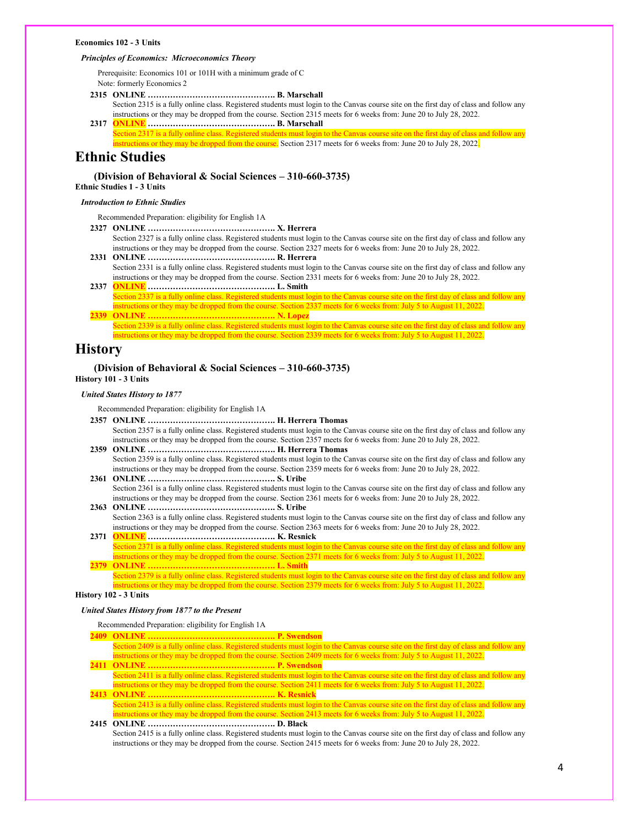#### **Economics 102 - 3 Units**

## *Principles of Economics: Microeconomics Theory*

Prerequisite: Economics 101 or 101H with a minimum grade of C Note: formerly Economics 2

**2315 ONLINE ………………………………………. B. Marschall**

Section 2315 is a fully online class. Registered students must login to the Canvas course site on the first day of class and follow any instructions or they may be dropped from the course. Section 2315 meets for 6 weeks from: June 20 to July 28, 2022. **2317 ONLINE ………………………………………. B. Marschall**

Section 2317 is a fully online class. Registered students must login to the Canvas course site on the first day of class and follow any nstructions or they may be dropped from the course. Section 2317 meets for 6 weeks from: June 20 to July 28, 2022.

# **Ethnic Studies**

## **(Division of Behavioral & Social Sciences – 310-660-3735)**

# **Ethnic Studies 1 - 3 Units**

# *Introduction to Ethnic Studies*

Recommended Preparation: eligibility for English 1A

- **2327 ONLINE ………………………………………. X. Herrera** Section 2327 is a fully online class. Registered students must login to the Canvas course site on the first day of class and follow any instructions or they may be dropped from the course. Section 2327 meets for 6 weeks from: June 20 to July 28, 2022.
- **2331 ONLINE ………………………………………. R. Herrera** Section 2331 is a fully online class. Registered students must login to the Canvas course site on the first day of class and follow any instructions or they may be dropped from the course. Section 2331 meets for 6 weeks from: June 20 to July 28, 2022.
- **2337 ONLINE ………………………………………. L. Smith** Section 2337 is a fully online class. Registered students must login to the Canvas course site on the first day of class and follow any nstructions or they may be dropped from the course. Section  $2\overline{337}$  meets for 6 weeks from: July 5 to August 11, 2022.
- **2339 ONLINE ………………………………………. N. Lopez** Section 2339 is a fully online class. Registered students must login to the Canvas course site on the first day of class and follow any instructions or they may be dropped from the course. Section 2339 meets for 6 weeks from: July 5 to August 11, 2022.

# **History**

## **(Division of Behavioral & Social Sciences – 310-660-3735) History 101 - 3 Units**

#### *United States History to 1877*

Recommended Preparation: eligibility for English 1A

- **2357 ONLINE ………………………………………. H. Herrera Thomas** Section 2357 is a fully online class. Registered students must login to the Canvas course site on the first day of class and follow any instructions or they may be dropped from the course. Section 2357 meets for 6 weeks from: June 20 to July 28, 2022.
- **2359 ONLINE ………………………………………. H. Herrera Thomas** Section 2359 is a fully online class. Registered students must login to the Canvas course site on the first day of class and follow any instructions or they may be dropped from the course. Section 2359 meets for 6 weeks from: June 20 to July 28, 2022.
- **2361 ONLINE ………………………………………. S. Uribe** Section 2361 is a fully online class. Registered students must login to the Canvas course site on the first day of class and follow any instructions or they may be dropped from the course. Section 2361 meets for 6 weeks from: June 20 to July 28, 2022.
- **2363 ONLINE ………………………………………. S. Uribe** Section 2363 is a fully online class. Registered students must login to the Canvas course site on the first day of class and follow any instructions or they may be dropped from the course. Section 2363 meets for 6 weeks from: June 20 to July 28, 2022.
- **2371 ONLINE ………………………………………. K. Resnick** Section 2371 is a fully online class. Registered students must login to the Canvas course site on the first day of class and follow any instructions or they may be dropped from the course. Section 2371 meets for 6 weeks from: July 5 to August 11, 2022.
- **2379 ONLINE ………………………………………. L. Smith** Section 2379 is a fully online class. Registered students must login to the Canvas course site on the first day of class and follow any ructions or they may be dropped from the course. Section 2379 meets for 6 weeks from: July 5 to August 11, 2022.

**History 102 - 3 Units**

#### *United States History from 1877 to the Present*

#### Recommended Preparation: eligibility for English 1A

- **2409 ONLINE ………………………………………. P. Swendson**
- Section 2409 is a fully online class. Registered students must login to the Canvas course site on the first day of class and follow any instructions or they may be dropped from the course. Section 2409 meets for 6 weeks from: July 5 to August 11, 2022. **2411 ONLINE ………………………………………. P. Swendson**
- Section 2411 is a fully online class. Registered students must login to the Canvas course site on the first day of class and follow any instructions or they may be dropped from the course. Section 2411 meets for 6 weeks from: July 5 to August 11, 2022.
- **2413 ONLINE ………………………………………. K. Resnick** Section 2413 is a fully online class. Registered students must login to the Canvas course site on the first day of class and follow any instructions or they may be dropped from the course. Section 2413 meets for 6 weeks from: July 5 to August 11, 2022.

# **2415 ONLINE ………………………………………. D. Black**

Section 2415 is a fully online class. Registered students must login to the Canvas course site on the first day of class and follow any instructions or they may be dropped from the course. Section 2415 meets for 6 weeks from: June 20 to July 28, 2022.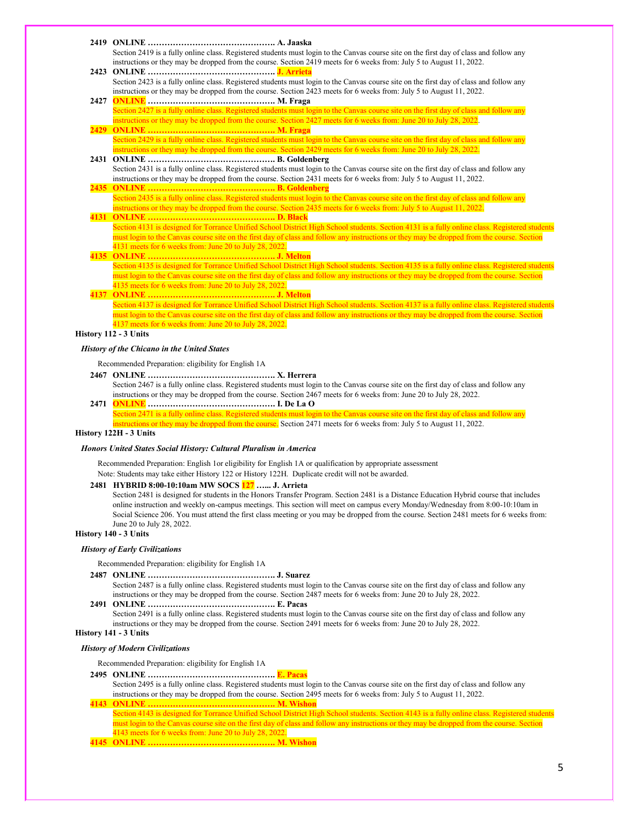**2419 ONLINE ………………………………………. A. Jaaska**

Section 2419 is a fully online class. Registered students must login to the Canvas course site on the first day of class and follow any instructions or they may be dropped from the course. Section 2419 meets for 6 weeks from: July 5 to August 11, 2022.

- **2423 ONLINE ………………………………………. J. Arrieta** Section 2423 is a fully online class. Registered students must login to the Canvas course site on the first day of class and follow any instructions or they may be dropped from the course. Section 2423 meets for 6 weeks from: July 5 to August 11, 2022.
- **2427 ONLINE ………………………………………. M. Fraga** ection 2427 is a fully online class. Registered students must login to the Canvas course site on the first day of class and follow any instructions or they may be dropped from the course. Section 2427 meets for 6 weeks from: June 20 to July 28, 2022.
- **2429 ONLINE ………………………………………. M. Fraga** Section 2429 is a fully online class. Registered students must login to the Canvas course site on the first day of class and follow any structions or they may be dropped from the course. Section  $2429$  meets for 6 weeks from: June 20 to July 28, 2022.
- **2431 ONLINE ………………………………………. B. Goldenberg** Section 2431 is a fully online class. Registered students must login to the Canvas course site on the first day of class and follow any instructions or they may be dropped from the course. Section 2431 meets for 6 weeks from: July 5 to August 11, 2022. **2435 ONLINE ………………………………………. B. Goldenberg**
- Section 2435 is a fully online class. Registered students must login to the Canvas course site on the first day of class and follow any instructions or they may be dropped from the course. Section 2435 meets for 6 weeks from: July 5 to August 11, 2022.
- **4131 ONLINE ………………………………………. D. Black** Section 4131 is designed for Torrance Unified School District High School students. Section 4131 is a fully online class. Registered students must login to the Canvas course site on the first day of class and follow any instructions or they may be dropped from the course. Section 4131 meets for 6 weeks from: June 20 to July 28, 2022.

## **4135 ONLINE ………………………………………. J. Melton** Section 4135 is designed for Torrance Unified School District High School students. Section 4135 is a fully online class. Registered students must login to the Canvas course site on the first day of class and follow any instructions or they may be dropped from the course. Section 4135 meets for 6 weeks from: June 20 to July 28, 2022.

**4137 ONLINE ………………………………………. J. Melton** Section 4137 is designed for Torrance Unified School District High School students. Section 4137 is a fully online class. Registered students must login to the Canvas course site on the first day of class and follow any instructions or they may be dropped from the course. Section 4137 meets for 6 weeks from: June 20 to July 28, 2022.

# **History 112 - 3 Units**

### *History of the Chicano in the United States*

Recommended Preparation: eligibility for English 1A

- **2467 ONLINE ………………………………………. X. Herrera** Section 2467 is a fully online class. Registered students must login to the Canvas course site on the first day of class and follow any instructions or they may be dropped from the course. Section 2467 meets for 6 weeks from: June 20 to July 28, 2022.
- **2471 ONLINE ………………………………………. I. De La O** Section 2471 is a fully online class. Registered students must login to the Canvas course site on the first day of class and follow any nstructions or they may be dropped from the course. Section 2471 meets for 6 weeks from: July 5 to August 11, 2022.

#### **History 122H - 3 Units**

### *Honors United States Social History: Cultural Pluralism in America*

Recommended Preparation: English 1or eligibility for English 1A or qualification by appropriate assessment Note: Students may take either History 122 or History 122H. Duplicate credit will not be awarded.

#### **2481 HYBRID 8:00-10:10am MW SOCS 127 …... J. Arrieta**

Section 2481 is designed for students in the Honors Transfer Program. Section 2481 is a Distance Education Hybrid course that includes online instruction and weekly on-campus meetings. This section will meet on campus every Monday/Wednesday from 8:00-10:10am in Social Science 206. You must attend the first class meeting or you may be dropped from the course. Section 2481 meets for 6 weeks from: June 20 to July 28, 2022.

# **History 140 - 3 Units**

## *History of Early Civilizations*

Recommended Preparation: eligibility for English 1A

- **2487 ONLINE ………………………………………. J. Suarez**
- Section 2487 is a fully online class. Registered students must login to the Canvas course site on the first day of class and follow any instructions or they may be dropped from the course. Section 2487 meets for 6 weeks from: June 20 to July 28, 2022. **2491 ONLINE ………………………………………. E. Pacas**
- Section 2491 is a fully online class. Registered students must login to the Canvas course site on the first day of class and follow any instructions or they may be dropped from the course. Section 2491 meets for 6 weeks from: June 20 to July 28, 2022.

# **History 141 - 3 Units**

#### *History of Modern Civilizations*

Recommended Preparation: eligibility for English 1A

- **2495 ONLINE ………………………………………. E. Pacas**
- Section 2495 is a fully online class. Registered students must login to the Canvas course site on the first day of class and follow any instructions or they may be dropped from the course. Section 2495 meets for 6 weeks from: July 5 to August 11, 2022. **4143 ONLINE ………………………………………. M. Wishon**

Section 4143 is designed for Torrance Unified School District High School students. Section 4143 is a fully online class. Registered students must login to the Canvas course site on the first day of class and follow any instructions or they may be dropped from the course. Section 4143 meets for 6 weeks from: June 20 to July 28, 2022.

**4145 ONLINE ………………………………………. M. Wishon**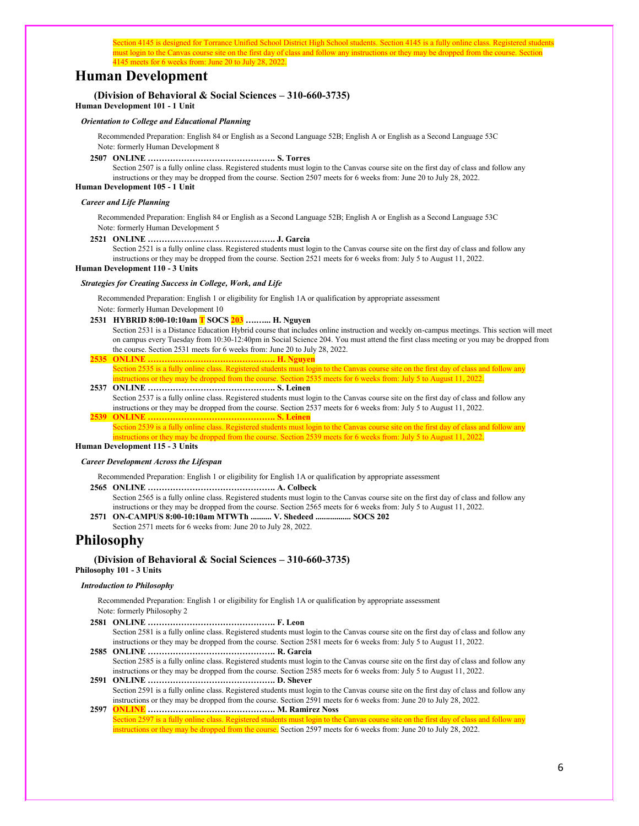Section 4145 is designed for Torrance Unified School District High School students. Section 4145 is a fully online class. Registered students must login to the Canvas course site on the first day of class and follow any instructions or they may be dropped from the course. Section 4145 meets for 6 weeks from: June 20 to July 28, 2022.

# **Human Development**

# **(Division of Behavioral & Social Sciences – 310-660-3735)**

**Human Development 101 - 1 Unit**

## *Orientation to College and Educational Planning*

Recommended Preparation: English 84 or English as a Second Language 52B; English A or English as a Second Language 53C Note: formerly Human Development 8

**2507 ONLINE ………………………………………. S. Torres**

Section 2507 is a fully online class. Registered students must login to the Canvas course site on the first day of class and follow any instructions or they may be dropped from the course. Section 2507 meets for 6 weeks from: June 20 to July 28, 2022.

**Human Development 105 - 1 Unit**

# *Career and Life Planning*

Recommended Preparation: English 84 or English as a Second Language 52B; English A or English as a Second Language 53C Note: formerly Human Development 5

**2521 ONLINE ………………………………………. J. Garcia**

Section 2521 is a fully online class. Registered students must login to the Canvas course site on the first day of class and follow any instructions or they may be dropped from the course. Section 2521 meets for 6 weeks from: July 5 to August 11, 2022.

### **Human Development 110 - 3 Units**

#### *Strategies for Creating Success in College, Work, and Life*

Recommended Preparation: English 1 or eligibility for English 1A or qualification by appropriate assessment Note: formerly Human Development 10

**2531 HYBRID 8:00-10:10am T SOCS 203 ….…... H. Nguyen**

Section 2531 is a Distance Education Hybrid course that includes online instruction and weekly on-campus meetings. This section will meet on campus every Tuesday from 10:30-12:40pm in Social Science 204. You must attend the first class meeting or you may be dropped from the course. Section 2531 meets for 6 weeks from: June 20 to July 28, 2022.

**2535 ONLINE ………………………………………. H. Nguyen**

Section 2535 is a fully online class. Registered students must login to the Canvas course site on the first day of class and follow any tructions or they may be dropped from the course. Section  $2535$  meets for 6 weeks from: July 5 to August 11, 2022.

# **2537 ONLINE ………………………………………. S. Leinen**

Section 2537 is a fully online class. Registered students must login to the Canvas course site on the first day of class and follow any instructions or they may be dropped from the course. Section 2537 meets for 6 weeks from: July 5 to August 11, 2022. **2539 ONLINE ………………………………………. S. Leinen**

Section 2539 is a fully online class. Registered students must login to the Canvas course site on the first day of class and follow any instructions or they may be dropped from the course. Section 2539 meets for 6 weeks from: July 5 to August 11, 2022.

**Human Development 115 - 3 Units**

#### *Career Development Across the Lifespan*

Recommended Preparation: English 1 or eligibility for English 1A or qualification by appropriate assessment

- **2565 ONLINE ………………………………………. A. Colbeck**
- Section 2565 is a fully online class. Registered students must login to the Canvas course site on the first day of class and follow any instructions or they may be dropped from the course. Section 2565 meets for 6 weeks from: July 5 to August 11, 2022.
- **2571 ON-CAMPUS 8:00-10:10am MTWTh .......... V. Shedeed ................. SOCS 202** Section 2571 meets for 6 weeks from: June 20 to July 28, 2022.

# **Philosophy**

### **(Division of Behavioral & Social Sciences – 310-660-3735) Philosophy 101 - 3 Units**

#### *Introduction to Philosophy*

Recommended Preparation: English 1 or eligibility for English 1A or qualification by appropriate assessment Note: formerly Philosophy 2

**2581 ONLINE ………………………………………. F. Leon** Section 2581 is a fully online class. Registered students must login to the Canvas course site on the first day of class and follow any instructions or they may be dropped from the course. Section 2581 meets for 6 weeks from: July 5 to August 11, 2022. **2585 ONLINE ………………………………………. R. Garcia** Section 2585 is a fully online class. Registered students must login to the Canvas course site on the first day of class and follow any

instructions or they may be dropped from the course. Section 2585 meets for 6 weeks from: July 5 to August 11, 2022. **2591 ONLINE ………………………………………. D. Shever**

Section 2591 is a fully online class. Registered students must login to the Canvas course site on the first day of class and follow any instructions or they may be dropped from the course. Section 2591 meets for 6 weeks from: June 20 to July 28, 2022. **2597 ONLINE ………………………………………. M. Ramirez Noss**

Section 2597 is a fully online class. Registered students must login to the Canvas course site on the first day of class and follow any instructions or they may be dropped from the course. Section 2597 meets for 6 weeks from: June 20 to July 28, 2022.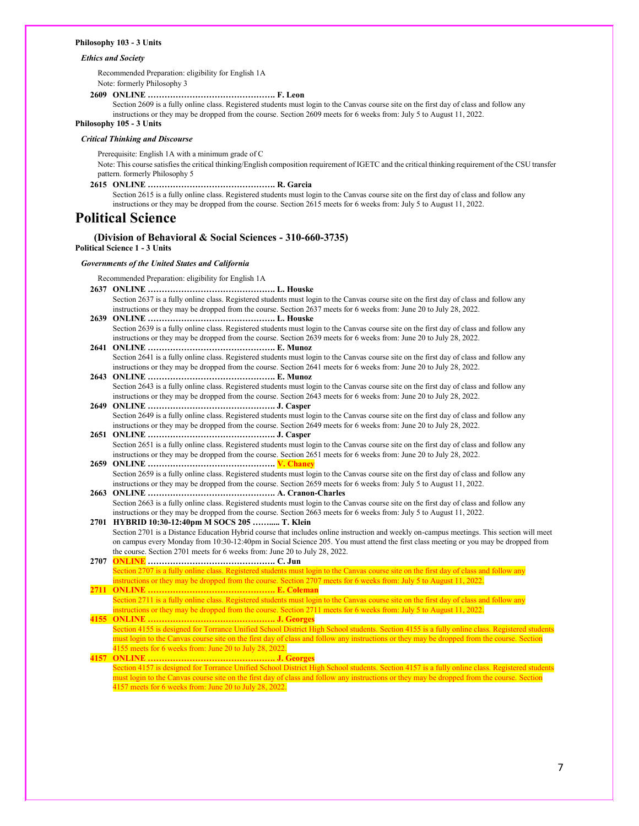#### **Philosophy 103 - 3 Units**

#### *Ethics and Society*

Recommended Preparation: eligibility for English 1A Note: formerly Philosophy 3

**2609 ONLINE ………………………………………. F. Leon**

Section 2609 is a fully online class. Registered students must login to the Canvas course site on the first day of class and follow any instructions or they may be dropped from the course. Section 2609 meets for 6 weeks from: July 5 to August 11, 2022.

# **Philosophy 105 - 3 Units**

## *Critical Thinking and Discourse*

Prerequisite: English 1A with a minimum grade of C

Note: This course satisfies the critical thinking/English composition requirement of IGETC and the critical thinking requirement of the CSU transfer pattern. formerly Philosophy 5

**2615 ONLINE ………………………………………. R. Garcia**

Section 2615 is a fully online class. Registered students must login to the Canvas course site on the first day of class and follow any instructions or they may be dropped from the course. Section 2615 meets for 6 weeks from: July 5 to August 11, 2022.

# **Political Science**

# **(Division of Behavioral & Social Sciences - 310-660-3735)**

**Political Science 1 - 3 Units**

### *Governments of the United States and California*

Recommended Preparation: eligibility for English 1A

- **2637 ONLINE ………………………………………. L. Houske** Section 2637 is a fully online class. Registered students must login to the Canvas course site on the first day of class and follow any instructions or they may be dropped from the course. Section 2637 meets for 6 weeks from: June 20 to July 28, 2022.
- **2639 ONLINE ………………………………………. L. Houske** Section 2639 is a fully online class. Registered students must login to the Canvas course site on the first day of class and follow any instructions or they may be dropped from the course. Section 2639 meets for 6 weeks from: June 20 to July 28, 2022.
- **2641 ONLINE ………………………………………. E. Munoz** Section 2641 is a fully online class. Registered students must login to the Canvas course site on the first day of class and follow any instructions or they may be dropped from the course. Section 2641 meets for 6 weeks from: June 20 to July 28, 2022.
- **2643 ONLINE ………………………………………. E. Munoz** Section 2643 is a fully online class. Registered students must login to the Canvas course site on the first day of class and follow any instructions or they may be dropped from the course. Section 2643 meets for 6 weeks from: June 20 to July 28, 2022.
- **2649 ONLINE ………………………………………. J. Casper** Section 2649 is a fully online class. Registered students must login to the Canvas course site on the first day of class and follow any instructions or they may be dropped from the course. Section 2649 meets for 6 weeks from: June 20 to July 28, 2022. **2651 ONLINE ………………………………………. J. Casper**
- Section 2651 is a fully online class. Registered students must login to the Canvas course site on the first day of class and follow any instructions or they may be dropped from the course. Section 2651 meets for 6 weeks from: June 20 to July 28, 2022. **2659 ONLINE ………………………………………. V. Chaney**
- Section 2659 is a fully online class. Registered students must login to the Canvas course site on the first day of class and follow any instructions or they may be dropped from the course. Section 2659 meets for 6 weeks from: July 5 to August 11, 2022.
- **2663 ONLINE ………………………………………. A. Cranon-Charles** Section 2663 is a fully online class. Registered students must login to the Canvas course site on the first day of class and follow any instructions or they may be dropped from the course. Section 2663 meets for 6 weeks from: July 5 to August 11, 2022.

**2701 HYBRID 10:30-12:40pm M SOCS 205 ……..... T. Klein** Section 2701 is a Distance Education Hybrid course that includes online instruction and weekly on-campus meetings. This section will meet on campus every Monday from 10:30-12:40pm in Social Science 205. You must attend the first class meeting or you may be dropped from the course. Section 2701 meets for 6 weeks from: June 20 to July 28, 2022.

- **2707 ONLINE ………………………………………. C. Jun** Section 2707 is a fully online class. Registered students must login to the Canvas course site on the first day of class and follow any nstructions or they may be dropped from the course. Section 2707 meets for 6 weeks from: July 5 to August 11, 2022.
- **2711 ONLINE ………………………………………. E. Coleman** Section 2711 is a fully online class. Registered students must login to the Canvas course site on the first day of class and follow any instructions or they may be dropped from the course. Section 2711 meets for 6 weeks from: July 5 to August 11, 2022.

**4155 ONLINE ………………………………………. J. Georges** Section 4155 is designed for Torrance Unified School District High School students. Section 4155 is a fully online class. Registered students must login to the Canvas course site on the first day of class and follow any instructions or they may be dropped from the course. Section 4155 meets for 6 weeks from: June 20 to July 28, 2022.

**4157 ONLINE ………………………………………. J. Georges** Section 4157 is designed for Torrance Unified School District High School students. Section 4157 is a fully online class. Registered students must login to the Canvas course site on the first day of class and follow any instructions or they may be dropped from the course. Section 4157 meets for 6 weeks from: June 20 to July 28, 2022.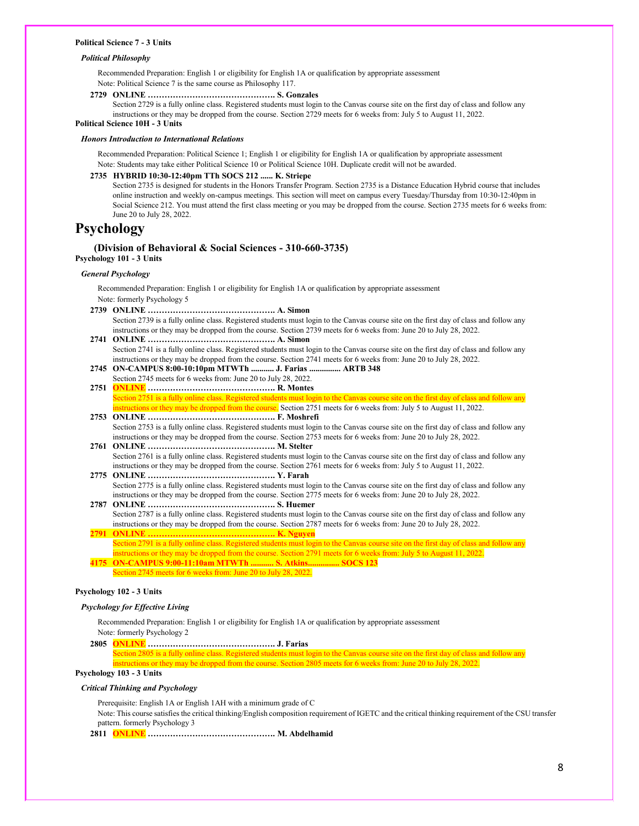#### **Political Science 7 - 3 Units**

#### *Political Philosophy*

Recommended Preparation: English 1 or eligibility for English 1A or qualification by appropriate assessment Note: Political Science 7 is the same course as Philosophy 117.

**2729 ONLINE ………………………………………. S. Gonzales**

Section 2729 is a fully online class. Registered students must login to the Canvas course site on the first day of class and follow any instructions or they may be dropped from the course. Section 2729 meets for 6 weeks from: July 5 to August 11, 2022.

# **Political Science 10H - 3 Units**

## *Honors Introduction to International Relations*

Recommended Preparation: Political Science 1; English 1 or eligibility for English 1A or qualification by appropriate assessment Note: Students may take either Political Science 10 or Political Science 10H. Duplicate credit will not be awarded.

#### **2735 HYBRID 10:30-12:40pm TTh SOCS 212 ...... K. Striepe**

Section 2735 is designed for students in the Honors Transfer Program. Section 2735 is a Distance Education Hybrid course that includes online instruction and weekly on-campus meetings. This section will meet on campus every Tuesday/Thursday from 10:30-12:40pm in Social Science 212. You must attend the first class meeting or you may be dropped from the course. Section 2735 meets for 6 weeks from: June 20 to July 28, 2022.

# **Psychology**

## **(Division of Behavioral & Social Sciences - 310-660-3735) Psychology 101 - 3 Units**

## *General Psychology*

Recommended Preparation: English 1 or eligibility for English 1A or qualification by appropriate assessment Note: formerly Psychology 5

- **2739 ONLINE ………………………………………. A. Simon** Section 2739 is a fully online class. Registered students must login to the Canvas course site on the first day of class and follow any instructions or they may be dropped from the course. Section 2739 meets for 6 weeks from: June 20 to July 28, 2022. **2741 ONLINE ………………………………………. A. Simon**
- Section 2741 is a fully online class. Registered students must login to the Canvas course site on the first day of class and follow any instructions or they may be dropped from the course. Section 2741 meets for 6 weeks from: June 20 to July 28, 2022.
- **2745 ON-CAMPUS 8:00-10:10pm MTWTh ........... J. Farias ............... ARTB 348** Section 2745 meets for 6 weeks from: June 20 to July 28, 2022.
- **2751 ONLINE ………………………………………. R. Montes** Section 2751 is a fully online class. Registered students must login to the Canvas course site on the first day of class and follow any instructions or they may be dropped from the course. Section 2751 meets for 6 weeks from: July 5 to August 11, 2022.
- **2753 ONLINE ………………………………………. F. Moshrefi** Section 2753 is a fully online class. Registered students must login to the Canvas course site on the first day of class and follow any instructions or they may be dropped from the course. Section 2753 meets for 6 weeks from: June 20 to July 28, 2022.
- **2761 ONLINE ………………………………………. M. Stelter** Section 2761 is a fully online class. Registered students must login to the Canvas course site on the first day of class and follow any instructions or they may be dropped from the course. Section 2761 meets for 6 weeks from: July 5 to August 11, 2022.
- **2775 ONLINE ………………………………………. Y. Farah** Section 2775 is a fully online class. Registered students must login to the Canvas course site on the first day of class and follow any instructions or they may be dropped from the course. Section 2775 meets for 6 weeks from: June 20 to July 28, 2022.

**2787 ONLINE ………………………………………. S. Huemer** Section 2787 is a fully online class. Registered students must login to the Canvas course site on the first day of class and follow any instructions or they may be dropped from the course. Section 2787 meets for 6 weeks from: June 20 to July 28, 2022. **2791 ONLINE ………………………………………. K. Nguyen**

Section 2791 is a fully online class. Registered students must login to the Canvas course site on the first day of class and follow any instructions or they may be dropped from the course. Section 2791 meets for 6 weeks from: July 5 to August 11, 2022.

**4175 ON-CAMPUS 9:00-11:10am MTWTh ........... S. Atkins............... SOCS 123** Section 2745 meets for 6 weeks from: June 20 to July 28, 2022.

### **Psychology 102 - 3 Units**

#### *Psychology for Effective Living*

Recommended Preparation: English 1 or eligibility for English 1A or qualification by appropriate assessment Note: formerly Psychology 2

**2805 ONLINE ………………………………………. J. Farias**

Section 2805 is a fully online class. Registered students must login to the Canvas course site on the first day of class and follow any instructions or they may be dropped from the course. Section 2805 meets for 6 weeks from: June 20 to July 28, 2022.

# **Psychology 103 - 3 Units**

### *Critical Thinking and Psychology*

Prerequisite: English 1A or English 1AH with a minimum grade of C

Note: This course satisfies the critical thinking/English composition requirement of IGETC and the critical thinking requirement of the CSU transfer pattern. formerly Psychology 3

**2811 ONLINE ………………………………………. M. Abdelhamid**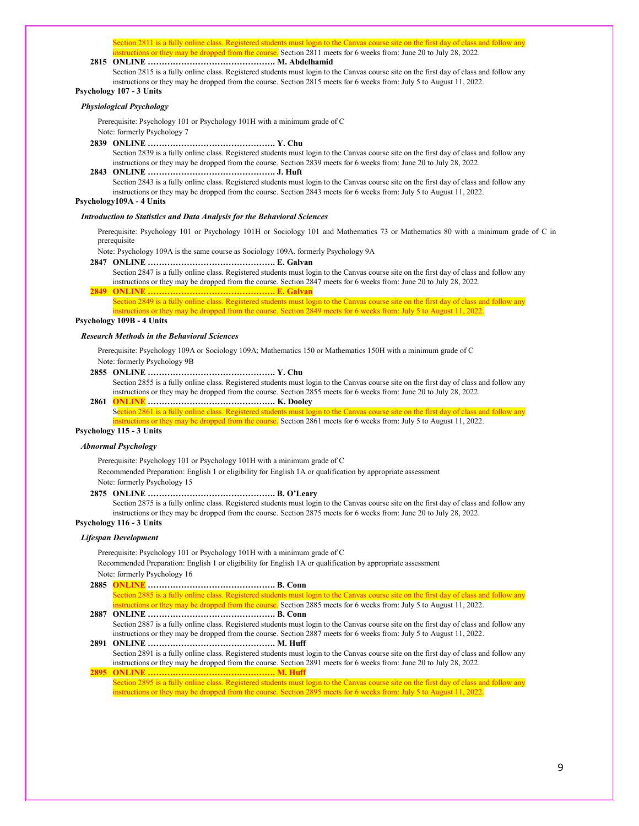Section 2811 is a fully online class. Registered students must login to the Canvas course site on the first day of class and follow any nstructions or they may be dropped from the course. Section 2811 meets for 6 weeks from: June 20 to July 28, 2022.

## **2815 ONLINE ………………………………………. M. Abdelhamid**

Section 2815 is a fully online class. Registered students must login to the Canvas course site on the first day of class and follow any instructions or they may be dropped from the course. Section 2815 meets for 6 weeks from: July 5 to August 11, 2022. **Psychology 107 - 3 Units**

#### *Physiological Psychology*

Prerequisite: Psychology 101 or Psychology 101H with a minimum grade of C Note: formerly Psychology 7

**2839 ONLINE ………………………………………. Y. Chu**

Section 2839 is a fully online class. Registered students must login to the Canvas course site on the first day of class and follow any instructions or they may be dropped from the course. Section 2839 meets for 6 weeks from: June 20 to July 28, 2022.

# **2843 ONLINE ………………………………………. J. Huft**

Section 2843 is a fully online class. Registered students must login to the Canvas course site on the first day of class and follow any instructions or they may be dropped from the course. Section 2843 meets for 6 weeks from: July 5 to August 11, 2022.

#### **Psychology109A - 4 Units**

#### *Introduction to Statistics and Data Analysis for the Behavioral Sciences*

Prerequisite: Psychology 101 or Psychology 101H or Sociology 101 and Mathematics 73 or Mathematics 80 with a minimum grade of C in prerequisite

Note: Psychology 109A is the same course as Sociology 109A. formerly Psychology 9A

- **2847 ONLINE ………………………………………. E. Galvan**
- Section 2847 is a fully online class. Registered students must login to the Canvas course site on the first day of class and follow any instructions or they may be dropped from the course. Section 2847 meets for 6 weeks from: June 20 to July 28, 2022. **2849 ONLINE ………………………………………. E. Galvan**
	- Section 2849 is a fully online class. Registered students must login to the Canvas course site on the first day of class and follow any structions or they may be dropped from the course. Section 2849 meets for 6 weeks from: July 5 to August 11, 2022.

## **Psychology 109B - 4 Units**

#### *Research Methods in the Behavioral Sciences*

Prerequisite: Psychology 109A or Sociology 109A; Mathematics 150 or Mathematics 150H with a minimum grade of C Note: formerly Psychology 9B

**2855 ONLINE ………………………………………. Y. Chu**

Section 2855 is a fully online class. Registered students must login to the Canvas course site on the first day of class and follow any instructions or they may be dropped from the course. Section 2855 meets for 6 weeks from: June 20 to July 28, 2022.

# **2861 ONLINE ………………………………………. K. Dooley**

Section 2861 is a fully online class. Registered students must login to the Canvas course site on the first day of class and follow any ons or they may be dropped from the course. Section 2861 meets for 6 weeks from: July 5 to August 11, 2022.

## **Psychology 115 - 3 Units**

## *Abnormal Psychology*

Prerequisite: Psychology 101 or Psychology 101H with a minimum grade of C

Recommended Preparation: English 1 or eligibility for English 1A or qualification by appropriate assessment Note: formerly Psychology 15

**2875 ONLINE ………………………………………. B. O'Leary**

Section 2875 is a fully online class. Registered students must login to the Canvas course site on the first day of class and follow any instructions or they may be dropped from the course. Section 2875 meets for 6 weeks from: June 20 to July 28, 2022.

## **Psychology 116 - 3 Units**

## *Lifespan Development*

Prerequisite: Psychology 101 or Psychology 101H with a minimum grade of C

Recommended Preparation: English 1 or eligibility for English 1A or qualification by appropriate assessment Note: formerly Psychology 16

- **2885 ONLINE ………………………………………. B. Conn** Section 2885 is a fully online class. Registered students must login to the Canvas course site on the first day of class and follow any
- ons or they may be dropped from the course. Section 2885 meets for 6 weeks from: July 5 to August 11, 2022. **2887 ONLINE ………………………………………. B. Conn**
- Section 2887 is a fully online class. Registered students must login to the Canvas course site on the first day of class and follow any instructions or they may be dropped from the course. Section 2887 meets for 6 weeks from: July 5 to August 11, 2022.

**2891 ONLINE ………………………………………. M. Huff** Section 2891 is a fully online class. Registered students must login to the Canvas course site on the first day of class and follow any instructions or they may be dropped from the course. Section 2891 meets for 6 weeks from: June 20 to July 28, 2022. **2895 ONLINE ………………………………………. M. Huff**

Section 2895 is a fully online class. Registered students must login to the Canvas course site on the first day of class and follow any instructions or they may be dropped from the course. Section 2895 meets for 6 weeks from: July 5 to August 11, 2022.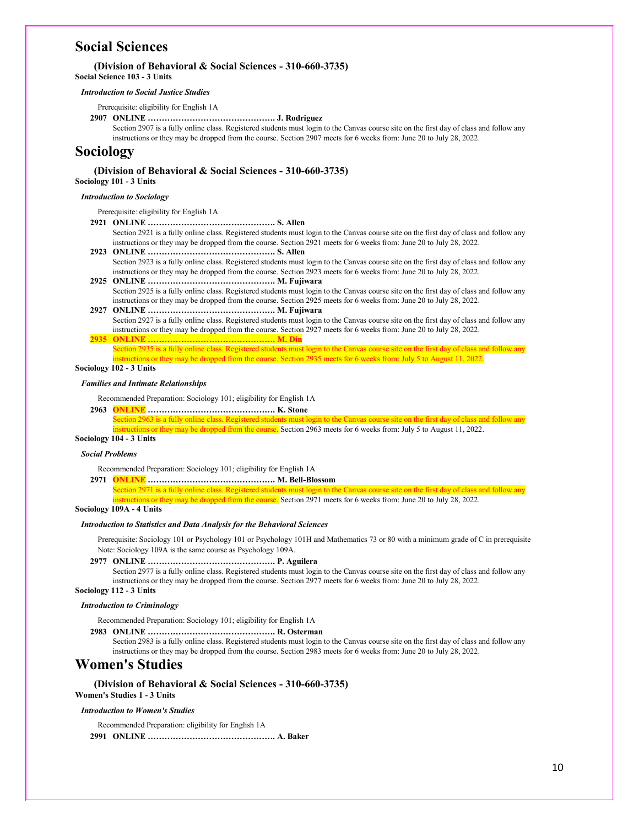# **Social Sciences**

## **(Division of Behavioral & Social Sciences - 310-660-3735)**

**Social Science 103 - 3 Units**

#### *Introduction to Social Justice Studies*

Prerequisite: eligibility for English 1A

## **2907 ONLINE ………………………………………. J. Rodriguez**

Section 2907 is a fully online class. Registered students must login to the Canvas course site on the first day of class and follow any instructions or they may be dropped from the course. Section 2907 meets for 6 weeks from: June 20 to July 28, 2022.

# **Sociology**

# **(Division of Behavioral & Social Sciences - 310-660-3735)**

**Sociology 101 - 3 Units**

# *Introduction to Sociology*

Prerequisite: eligibility for English 1A

**2921 ONLINE ………………………………………. S. Allen**

Section 2921 is a fully online class. Registered students must login to the Canvas course site on the first day of class and follow any instructions or they may be dropped from the course. Section 2921 meets for 6 weeks from: June 20 to July 28, 2022.

- **2923 ONLINE ………………………………………. S. Allen** Section 2923 is a fully online class. Registered students must login to the Canvas course site on the first day of class and follow any instructions or they may be dropped from the course. Section 2923 meets for 6 weeks from: June 20 to July 28, 2022.
- **2925 ONLINE ………………………………………. M. Fujiwara** Section 2925 is a fully online class. Registered students must login to the Canvas course site on the first day of class and follow any instructions or they may be dropped from the course. Section 2925 meets for 6 weeks from: June 20 to July 28, 2022.

**2927 ONLINE ………………………………………. M. Fujiwara** Section 2927 is a fully online class. Registered students must login to the Canvas course site on the first day of class and follow any instructions or they may be dropped from the course. Section 2927 meets for 6 weeks from: June 20 to July 28, 2022.

**2935 ONLINE ………………………………………. M. Din** Section 2935 is a fully online class. Registered students must login to the Canvas course site on the first day of class and follow any istructions or they may be dropped from the course. Section 2935 meets for 6 weeks from: July 5 to August 11, 2022.

#### **Sociology 102 - 3 Units**

### *Families and Intimate Relationships*

Recommended Preparation: Sociology 101; eligibility for English 1A

**2963 ONLINE ………………………………………. K. Stone** Section 2963 is a fully online class. Registered students must login to the Canvas course site on the first day of class and follow any nstructions or they may be dropped from the course. Section 2963 meets for 6 weeks from: July 5 to August 11, 2022.

#### **Sociology 104 - 3 Units**

#### *Social Problems*

Recommended Preparation: Sociology 101; eligibility for English 1A

**2971 ONLINE ………………………………………. M. Bell-Blossom** ection 2971 is a fully online class. Registered students must login to the Canvas course site on the first day of class and follow any

is or they may be dropped from the course. Section 2971 meets for 6 weeks from: June 20 to July 28, 2022.

# **Sociology 109A - 4 Units**

#### *Introduction to Statistics and Data Analysis for the Behavioral Sciences*

Prerequisite: Sociology 101 or Psychology 101 or Psychology 101H and Mathematics 73 or 80 with a minimum grade of C in prerequisite Note: Sociology 109A is the same course as Psychology 109A.

**2977 ONLINE ………………………………………. P. Aguilera**

Section 2977 is a fully online class. Registered students must login to the Canvas course site on the first day of class and follow any instructions or they may be dropped from the course. Section 2977 meets for 6 weeks from: June 20 to July 28, 2022. **Sociology 112 - 3 Units**

#### *Introduction to Criminology*

Recommended Preparation: Sociology 101; eligibility for English 1A

**2983 ONLINE ………………………………………. R. Osterman**

Section 2983 is a fully online class. Registered students must login to the Canvas course site on the first day of class and follow any instructions or they may be dropped from the course. Section 2983 meets for 6 weeks from: June 20 to July 28, 2022.

# **Women's Studies**

**(Division of Behavioral & Social Sciences - 310-660-3735) Women's Studies 1 - 3 Units**

#### *Introduction to Women's Studies*

Recommended Preparation: eligibility for English 1A

**2991 ONLINE ………………………………………. A. Baker**